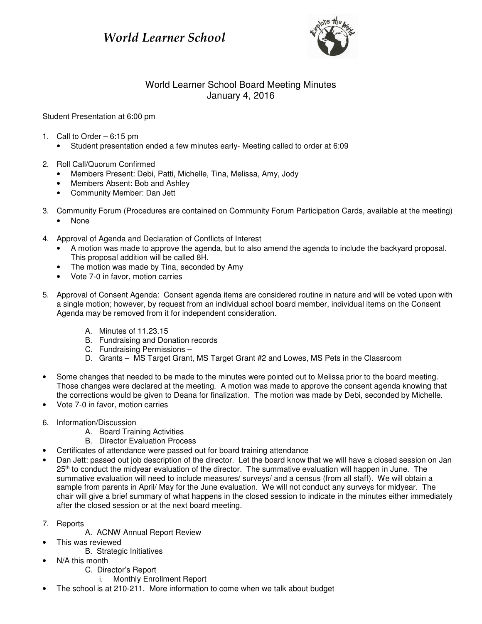## World Learner School



## World Learner School Board Meeting Minutes January 4, 2016

Student Presentation at 6:00 pm

- 1. Call to Order 6:15 pm
	- Student presentation ended a few minutes early- Meeting called to order at 6:09
- 2. Roll Call/Quorum Confirmed
	- Members Present: Debi, Patti, Michelle, Tina, Melissa, Amy, Jody
	- Members Absent: Bob and Ashley
	- Community Member: Dan Jett
- 3. Community Forum (Procedures are contained on Community Forum Participation Cards, available at the meeting)
	- None
- 4. Approval of Agenda and Declaration of Conflicts of Interest
	- A motion was made to approve the agenda, but to also amend the agenda to include the backyard proposal. This proposal addition will be called 8H.
	- The motion was made by Tina, seconded by Amy
	- Vote 7-0 in favor, motion carries
- 5. Approval of Consent Agenda: Consent agenda items are considered routine in nature and will be voted upon with a single motion; however, by request from an individual school board member, individual items on the Consent Agenda may be removed from it for independent consideration.
	- A. Minutes of 11.23.15
	- B. Fundraising and Donation records
	- C. Fundraising Permissions –
	- D. Grants MS Target Grant, MS Target Grant #2 and Lowes, MS Pets in the Classroom
- Some changes that needed to be made to the minutes were pointed out to Melissa prior to the board meeting. Those changes were declared at the meeting. A motion was made to approve the consent agenda knowing that the corrections would be given to Deana for finalization. The motion was made by Debi, seconded by Michelle.
- Vote 7-0 in favor, motion carries
- 6. Information/Discussion
	- A. Board Training Activities
	- B. Director Evaluation Process
- Certificates of attendance were passed out for board training attendance
- Dan Jett: passed out job description of the director. Let the board know that we will have a closed session on Jan 25<sup>th</sup> to conduct the midyear evaluation of the director. The summative evaluation will happen in June. The summative evaluation will need to include measures/ surveys/ and a census (from all staff). We will obtain a sample from parents in April/ May for the June evaluation. We will not conduct any surveys for midyear. The chair will give a brief summary of what happens in the closed session to indicate in the minutes either immediately after the closed session or at the next board meeting.
- 7. Reports
	- A. ACNW Annual Report Review
- This was reviewed
	- B. Strategic Initiatives
- N/A this month
	- C. Director's Report
		- i. Monthly Enrollment Report
- The school is at 210-211. More information to come when we talk about budget